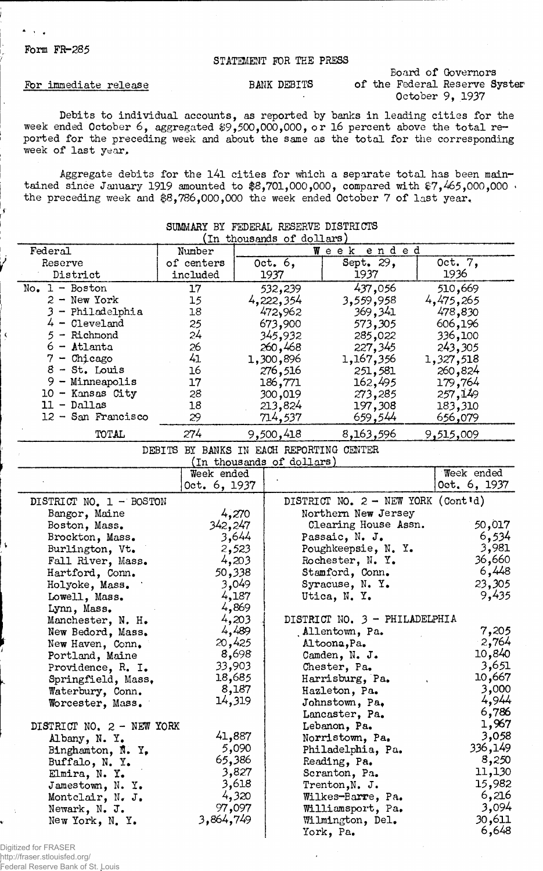## Form FR-285

 $\mathbf{A} = \mathbf{A} \times \mathbf{A}$ 

 $\pmb{\zeta}$ 

 $\mathbf{t}$ 

## STATEMENT FOR THE PRESS

## For immediate release

BANK DEBITS of the Federal Reserve Syster Board of Governors October 9, 1937

Debits to individual accounts, as reported by banks in leading cities for the week ended October 6, aggregated \$9,500,000,000, or 16 percent above the total reported for the preceding week and about the same as the total for the corresponding week of last year.

Aggregate debits for the l4l cities for which a separate total has been maintained since January 1919 amounted to  $$8,701,000,000$ , compared with  $$7,465,000,000$  · the preceding week and \$8,786,000,000 the week ended October 7 of last year,

| SUMMARY BY FEDERAL RESERVE DISTRICTS |                                          |        |                           |                                             |                 |  |  |  |  |
|--------------------------------------|------------------------------------------|--------|---------------------------|---------------------------------------------|-----------------|--|--|--|--|
| (In thousands of dollars)            |                                          |        |                           |                                             |                 |  |  |  |  |
| Federal                              | Number                                   |        |                           | ended<br>$W$ e e k                          |                 |  |  |  |  |
| Reserve<br>District                  | of centers<br>included                   |        | Oct. $6,$<br>1937         | Sept. 29,<br>1937                           | Oct. 7,<br>1936 |  |  |  |  |
| $No. 1 - Boston$                     | 17                                       |        | 532,239                   | 437,056                                     | 510,669         |  |  |  |  |
| $2 - New York$                       | 15                                       |        | 4,222,354                 | 3,559,958                                   | 4,475,265       |  |  |  |  |
| 3 - Philadelphia                     | 18                                       |        | 472,962                   | 369,341                                     | 478,830         |  |  |  |  |
| $4 -$ Cleveland                      | 25                                       |        | 673,900                   | 573,305                                     | 606,196         |  |  |  |  |
| $5 -$ Richmond                       | 24                                       |        | 345,932                   | 285,022                                     | 336,100         |  |  |  |  |
| 6 - Atlanta                          | 26                                       |        | 260,468                   | 227,345                                     | 243,305         |  |  |  |  |
| $7 -$ Chicago                        | 41                                       |        | 1,300,896                 | 1,167,356                                   | 1,327,518       |  |  |  |  |
| $8 - St.$ Louis                      | 16                                       |        | 276,516                   | 251,581                                     | 260,824         |  |  |  |  |
| $9 -$ Minneapolis                    | 17                                       |        | 186,771                   | 162,495                                     | 179,764         |  |  |  |  |
| 10 - Kansas City                     | 28                                       |        | 300,019                   | 273,285                                     | 257,149         |  |  |  |  |
| $11 - Dallas$                        | 18                                       |        | 213,824                   | 197,308                                     | 183,310         |  |  |  |  |
| $12 -$ San Francisco                 | 29                                       |        | 714,537                   | 659,544                                     | 656,079         |  |  |  |  |
|                                      |                                          |        |                           |                                             |                 |  |  |  |  |
| TOTAL                                | 274                                      |        | 9,500,418                 | 8,163,596                                   | 9,515,009       |  |  |  |  |
|                                      | DEBITS BY BANKS IN EACH REPORTING CENTER |        |                           |                                             |                 |  |  |  |  |
|                                      |                                          |        | (In thousands of dollars) |                                             |                 |  |  |  |  |
|                                      | Week ended                               |        |                           |                                             | Week ended      |  |  |  |  |
|                                      | Oct. 6, 1937                             |        |                           |                                             | Oct. 6, 1937    |  |  |  |  |
| DISTRICT NO. 1 - BOSTON              |                                          |        |                           | DISTRICT NO. $2 - \text{NEW YORK}$ (Cont'd) |                 |  |  |  |  |
| Bangor, Maine                        |                                          | 4,270  |                           | Northern New Jersey                         |                 |  |  |  |  |
| Boston, Mass.                        | 342,247                                  |        |                           | Clearing House Assn.                        | 50,017          |  |  |  |  |
| Brockton, Mass.                      |                                          | 3,644  |                           | Passaic, N. J.                              | 6,534           |  |  |  |  |
| Burlington, Vt.                      |                                          | 2,523  |                           | Poughkeepsie, N. Y.                         | 3,981           |  |  |  |  |
| Fall River, Mass.                    |                                          | 4,203  |                           | Rochester, N. Y.                            | 36,660          |  |  |  |  |
| Hartford, Conn.                      |                                          | 50,338 |                           | Stamford, Conn.                             | 6,448           |  |  |  |  |
| Holyoke, Mass.                       |                                          | 3,049  |                           | Syracuse, N. Y.                             | 23,305          |  |  |  |  |
| Lowell, Mass.                        |                                          | 4,187  |                           | Utica, N. Y.                                | 9,435           |  |  |  |  |
| Lynn, Mass.                          |                                          | 4,869  |                           |                                             |                 |  |  |  |  |
| Manchester, N. H.                    |                                          | 4,203  |                           | DISTRICT NO. 3 - PHILADELPHIA               |                 |  |  |  |  |
| New Bedord, Mass.                    |                                          | 4,489  |                           | Allentown, Pa.                              | 7,205           |  |  |  |  |
| New Haven, Conn.                     |                                          | 20,425 |                           | Altoona, Pa.                                | 2,764           |  |  |  |  |
| Portland, Maine                      |                                          | 8,698  |                           | Camden, N. J.                               | 10,840          |  |  |  |  |
| Providence, R. I.                    |                                          | 33,903 |                           | Chester, Pa.                                | 3,651           |  |  |  |  |
| Springfield, Mass.                   |                                          | 18,685 |                           | Harrisburg, Pa.                             | 10,667          |  |  |  |  |
| Waterbury, Conn.                     |                                          | 8,187  |                           | Hazleton, Pa.                               | 3,000           |  |  |  |  |
| Worcester, Mass.                     |                                          | 14,319 |                           | Johnstown, Pa.                              | 4,944           |  |  |  |  |
|                                      |                                          |        |                           | Lancaster, Pa.                              | 6,786           |  |  |  |  |
| DISTRICT NO. 2 - NEW YORK            |                                          |        |                           | Lebanon, Pa.                                | 1,967           |  |  |  |  |
| Albany, N.Y.                         |                                          | 41,887 |                           | Norristown, Pa.                             | 3,058           |  |  |  |  |
| Binghamton, $N. Y$ ,                 |                                          | 5,090  |                           | Philadelphia, Pa.                           | 336,149         |  |  |  |  |
| Buffalo, N. Y.                       |                                          | 65,386 |                           | Reading, Pa.                                | 8,250           |  |  |  |  |
| Elmira, N. Y.                        |                                          | 3,827  |                           | Scranton, Pa.                               | 11,130          |  |  |  |  |
| Jamestown, N. Y.                     |                                          | 3,618  |                           | Trenton, N. J.                              | 15,982          |  |  |  |  |
| Montclair, N. J.                     |                                          | 4,320  |                           | Wilkes-Barre, Pa.                           | 6,216           |  |  |  |  |
| Newark, N. J.                        |                                          | 97,097 |                           | Williamsport, Pa.                           | 3,094           |  |  |  |  |
| New York, N. Y.                      | 3,864,749                                |        |                           | Wilmington, Del.                            | 30,611          |  |  |  |  |
|                                      |                                          |        |                           | York, Pa.                                   | 6,648           |  |  |  |  |

Digitized for FRASER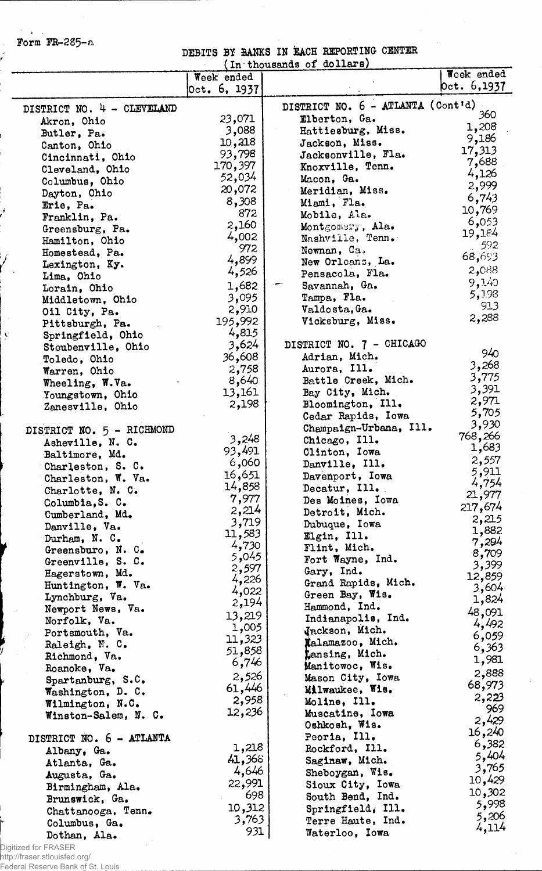Form FR-285-a

 $\sim$  $\ddot{\phantom{a}}$ 

r.<br>I

Ĵ

 $\overline{\mathbf{y}}$ 

DEBITS BY BANKS IN EACH REPORTING CENTER

|                                     | Week ended       |                                   | Week ended     |
|-------------------------------------|------------------|-----------------------------------|----------------|
|                                     | Oct. 6, 1937     |                                   | 0ct. 6,1937    |
| DISTRICT NO. 4 - CLEVELAND          |                  | DISTRICT NO. 6 - ATLANTA (Cont'd) |                |
| Akron, Ohio                         | 23,071           | Elberton, Ga.                     | 360            |
| Butler, Pa.                         | 3,088            | Hattiesburg, Miss.                | 1,208          |
| Canton, Ohio                        | 10,218           | Jackson, Miss.                    | 9,186          |
| Cincinnati, Ohio                    | 93,798           | Jacksonville, Fla.                | 17,313         |
| Cleveland, Ohio                     | 170,397          | Knoxville, Tenn.                  | 7,688          |
| Columbus, Ohio                      | 52,034           | Macon, Ga.                        | 4,126          |
| Dayton, Ohio                        | 20,072           | Meridian, Miss.                   | 2,999<br>6,743 |
| Erie, Pa.                           | 8,308            | Miami, Fla.                       | 10,769         |
| Franklin, Pa.                       | 872              | Mobile, Ala.                      | 6,053          |
| Greensburg, Pa.                     | 2,160            | Montgomery, Ala.                  | 19,184         |
| Hamilton, Ohio                      | 4,002            | Nashville, Tenn.                  | 592            |
| Homestead, Pa.                      | 972<br>4,899     | Newnan, Ga.                       | 68,693         |
| Lexington, Ky.                      | 4,526            | New Orleans, La.                  | 2,088          |
| Lima, Ohio                          |                  | Pensacola, Fla.                   | 9,140          |
| Lorain, Ohio                        | 1,682            | Savannah, Ga.                     | 5,198          |
| Middletown, Ohio                    | 3,095            | Tampa, Fla.<br>Valdosta, Ga.      | 913            |
| Oil City, Pa.                       | 2,910<br>195,992 | Vicksburg, Miss.                  | 2,288          |
| Pittsburgh, Pa.                     | 4,815            |                                   |                |
| Springfield, Ohio                   | 3,624            | DISTRICT NO. 7 - CHICAGO          |                |
| Steubenville, Ohio                  | 36,608           | Adrian, Mich.                     | 940            |
| Toledo, Ohio<br>Warren, Ohio        | 2,758            | Aurora, Ill.                      | 3,268          |
| Wheeling, W.Va.                     | 8,640            | Battle Creek, Mich.               | 3,775          |
| Youngstown, Ohio                    | 13,161           | Bay City, Mich.                   | 3,391          |
| Zanesville, Ohio                    | 2,198            | Bloomington, Ill.                 | 2,971          |
|                                     |                  | Cedar Rapids, Iowa                | 5,705          |
| DISTRICT NO. 5 - RICHMOND           |                  | Champaign-Urbana, Ill.            | 3,930          |
| Asheville, N. C.                    | 3,248            | Chicago, Ill.                     | 768,266        |
| Baltimore, Md.                      | 93,491           | Clinton, Iowa                     | 1,683          |
| Charleston, S. C.                   | 6,060            | Danville, Ill.                    | 2,557          |
| Charleston, W. Va.                  | 16,651           | Davenport, Iowa                   | 5,911<br>4,754 |
| Charlotte, N. C.                    | 14,858           | Decatur, Ill.                     | 21,977         |
| Columbia, S. C.                     | 7,977            | Des Moines, Iowa                  | 217,674        |
| Cumberland, Md.                     | 2,214            | Detroit, Mich.                    | 2,215          |
| Danville, Va.                       | 3,719<br>11,583  | Dubuque, Iowa                     | 1,882          |
| Durham, N. C.                       | 4,730            | Elgin, Ill.                       | 7,294          |
| Greensburo, N. C.                   | 5,045            | Flint, Mich.                      | 8,709          |
| Greenville, S. C.                   | 2,597            | Fort Wayne, Ind.<br>Gary, Ind.    | 3,399          |
| Hagerstown, Md.                     | 4,226            | Grand Rapids, Mich.               | 12,859         |
| Huntington, W. Va.                  | 4,022            | Green Bay, Wis.                   | 3,604          |
| Lynchburg, Va.<br>Newport News, Va. | 2,194            | Hammond, Ind.                     | 1,824          |
| Norfolk, Va.                        | 13,219           | Indianapolis, Ind.                | 48,091         |
| Portsmouth, Va.                     | 1,005            | Jackson, Mich.                    | 4,492          |
| Raleigh, N. C.                      | 11,323           | Xalamazoo, Mich.                  | 6,059          |
| Richmond, Va.                       | 51,858           | Lansing, Mich.                    | 6,363          |
| Roanoke, Va.                        | 6,746            | Manitowoc, Wis.                   | 1,981          |
| Spartanburg, $S.C.$                 | 2,526            | Mason City, Iowa                  | 2,888          |
| Washington, D. C.                   | 61,446           | Milwaukee, Wis.                   | 68,973         |
| Wilmington, N.C.                    | 2,958            | Moline, Ill.                      | 2,223          |
| Winston-Salem, N. C.                | 12,236           | Muscatine, Iowa                   | 969<br>2,429   |
|                                     |                  | Oshkosh, Wis.                     | 16,240         |
| DISTRICT NO. 6 - ATLANTA            |                  | Peoria, Ill.                      | 6,382          |
| Albany, Ga.                         | 1,218            | Rockford, Ill.                    | 5,404          |
| Atlanta, Ga.                        | 41,368           | Saginaw, Mich.                    | 3,765          |
| Augusta, Ga.                        | 4,646            | Sheboygan, Wis.                   | 10,429         |
| Birmingham, Ala.                    | 22,991<br>698    | Sioux City, Iowa                  | 10,302         |
| Brunswick, Ga.                      |                  | South Bend, Ind.                  | 5,998          |
| Chattanooga, Tenn.                  | 10,312<br>3,763  | Springfield, Ill.                 | 5,206          |
| Columbus, Ga.                       | 931              | Terre Haute, Ind.                 | 4,114          |
| Dothan, Ala.                        |                  | Waterloo, Iowa                    |                |

Digitized for FRASER http://fraser.stlouisfed.org/

Federal Reserve Bank of St. Louis